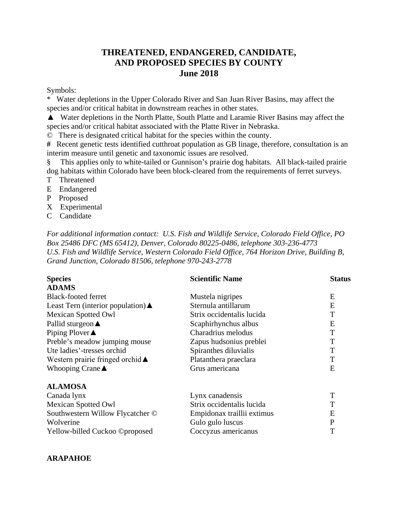# **THREATENED, ENDANGERED, CANDIDATE, AND PROPOSED SPECIES BY COUNTY June 2018**

Symbols:

Water depletions in the Upper Colorado River and San Juan River Basins, may affect the species and/or critical habitat in downstream reaches in other states.

▲ Water depletions in the North Platte, South Platte and Laramie River Basins may affect the species and/or critical habitat associated with the Platte River in Nebraska.

© There is designated critical habitat for the species within the county.

**#** Recent genetic tests identified cutthroat population as GB linage, therefore, consultation is an interim measure until genetic and taxonomic issues are resolved.

§ This applies only to white-tailed or Gunnison's prairie dog habitats. All black-tailed prairie dog habitats within Colorado have been block-cleared from the requirements of ferret surveys.

- T Threatened
- E Endangered
- P Proposed
- X Experimental
- C Candidate

*For additional information contact: U.S. Fish and Wildlife Service, Colorado Field Office, PO Box 25486 DFC (MS 65412), Denver, Colorado 80225-0486, telephone 303-236-4773 U.S. Fish and Wildlife Service, Western Colorado Field Office, 764 Horizon Drive, Building B, Grand Junction, Colorado 81506, telephone 970-243-2778*

| <b>Species</b>                                    | <b>Scientific Name</b>     | <b>Status</b> |
|---------------------------------------------------|----------------------------|---------------|
| <b>ADAMS</b>                                      |                            |               |
| <b>Black-footed ferret</b>                        | Mustela nigripes           | E             |
| Least Tern (interior population) $\blacktriangle$ | Sternula antillarum        | E             |
| <b>Mexican Spotted Owl</b>                        | Strix occidentalis lucida  | T             |
| Pallid sturgeon $\triangle$                       | Scaphirhynchus albus       | E             |
| Piping Plover $\triangle$                         | Charadrius melodus         | T             |
| Preble's meadow jumping mouse                     | Zapus hudsonius preblei    | T             |
| Ute ladies'-tresses orchid                        | Spiranthes diluvialis      | T             |
| Western prairie fringed orchid $\triangle$        | Platanthera praeclara      | T             |
| Whooping Crane $\blacktriangle$                   | Grus americana             | E             |
| <b>ALAMOSA</b>                                    |                            |               |
| Canada lynx                                       | Lynx canadensis            | T             |
| <b>Mexican Spotted Owl</b>                        | Strix occidentalis lucida  | T             |
| Southwestern Willow Flycatcher ©                  | Empidonax traillii extimus | E             |
| Wolverine                                         | Gulo gulo luscus           | $\mathbf{P}$  |
| Yellow-billed Cuckoo ©proposed                    | Coccyzus americanus        | T             |

#### **ARAPAHOE**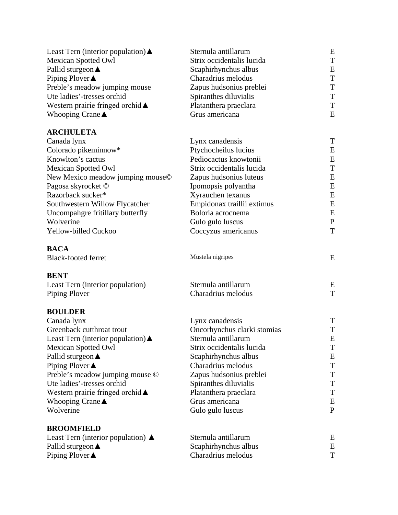| Least Tern (interior population) $\blacktriangle$ | Sternula antillarum         | E            |
|---------------------------------------------------|-----------------------------|--------------|
| <b>Mexican Spotted Owl</b>                        | Strix occidentalis lucida   | T            |
| Pallid sturgeon <b>▲</b>                          | Scaphirhynchus albus        | E            |
| Piping Plover ▲                                   | Charadrius melodus          | T            |
| Preble's meadow jumping mouse                     | Zapus hudsonius preblei     | T            |
| Ute ladies'-tresses orchid                        | Spiranthes diluvialis       | T            |
| Western prairie fringed orchid $\blacktriangle$   | Platanthera praeclara       | T            |
| Whooping Crane $\blacktriangle$                   | Grus americana              | E            |
| <b>ARCHULETA</b>                                  |                             |              |
| Canada lynx                                       | Lynx canadensis             | T            |
| Colorado pikeminnow*                              | Ptychocheilus lucius        | E            |
| Knowlton's cactus                                 | Pediocactus knowtonii       | E            |
| <b>Mexican Spotted Owl</b>                        | Strix occidentalis lucida   | T            |
| New Mexico meadow jumping mouse©                  | Zapus hudsonius luteus      | E            |
| Pagosa skyrocket ©                                | Ipomopsis polyantha         | E            |
| Razorback sucker*                                 | Xyrauchen texanus           | E            |
| Southwestern Willow Flycatcher                    | Empidonax traillii extimus  | E            |
| Uncompahgre fritillary butterfly                  | Boloria acrocnema           | E            |
| Wolverine                                         | Gulo gulo luscus            | $\mathbf{P}$ |
| Yellow-billed Cuckoo                              | Coccyzus americanus         | T            |
| <b>BACA</b>                                       |                             |              |
| <b>Black-footed ferret</b>                        | Mustela nigripes            | E            |
| <b>BENT</b>                                       |                             |              |
| Least Tern (interior population)                  | Sternula antillarum         | E            |
| Piping Plover                                     | Charadrius melodus          | T            |
| <b>BOULDER</b>                                    |                             |              |
| Canada lynx                                       | Lynx canadensis             | T            |
| Greenback cutthroat trout                         | Oncorhynchus clarki stomias | T            |
| Least Tern (interior population) $\triangle$      | Sternula antillarum         | E            |
| <b>Mexican Spotted Owl</b>                        | Strix occidentalis lucida   | T            |
| Pallid sturgeon <b>▲</b>                          | Scaphirhynchus albus        | E            |
| Piping Plover $\blacktriangle$                    | Charadrius melodus          | T            |
| Preble's meadow jumping mouse ©                   | Zapus hudsonius preblei     | Τ            |
| Ute ladies'-tresses orchid                        | Spiranthes diluvialis       | Τ            |
| Western prairie fringed orchid ▲                  | Platanthera praeclara       | T            |
| Whooping Crane $\triangle$                        | Grus americana              | Ε            |
| Wolverine                                         | Gulo gulo luscus            | P            |
| <b>BROOMFIELD</b>                                 |                             |              |
| Least Tern (interior population) $\blacktriangle$ | Sternula antillarum         | Ε            |
| Pallid sturgeon $\triangle$                       | Scaphirhynchus albus        | E            |
| Piping Plover $\triangle$                         | Charadrius melodus          | T            |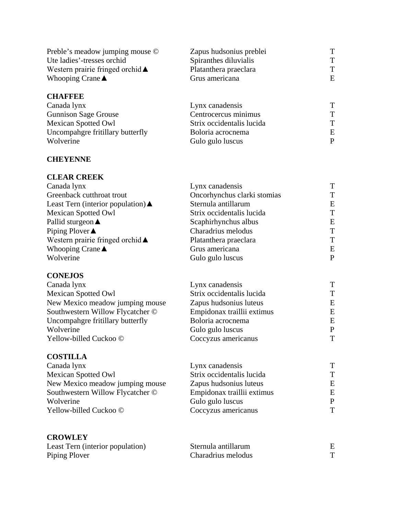| <b>CHAFFEE</b>                             |                         |   |
|--------------------------------------------|-------------------------|---|
| Whooping Crane $\blacktriangle$            | Grus americana          | E |
| Western prairie fringed orchid $\triangle$ | Platanthera praeclara   | т |
| Ute ladies'-tresses orchid                 | Spiranthes diluvialis   | т |
| Preble's meadow jumping mouse ©            | Zapus hudsonius preblei |   |

| Canada lynx                      | Lynx canadensis           |   |
|----------------------------------|---------------------------|---|
| <b>Gunnison Sage Grouse</b>      | Centrocercus minimus      | т |
| <b>Mexican Spotted Owl</b>       | Strix occidentalis lucida |   |
| Uncompahgre fritillary butterfly | Boloria acrocnema         | E |
| Wolverine                        | Gulo gulo luscus          | P |

#### **CHEYENNE**

## **CLEAR CREEK**

| Canada lynx                                     | Lynx canadensis             | T |
|-------------------------------------------------|-----------------------------|---|
| Greenback cutthroat trout                       | Oncorhynchus clarki stomias | т |
| Least Tern (interior population) $\triangle$    | Sternula antillarum         | Ε |
| <b>Mexican Spotted Owl</b>                      | Strix occidentalis lucida   | T |
| Pallid sturgeon $\triangle$                     | Scaphirhynchus albus        | E |
| Piping Plover $\triangle$                       | Charadrius melodus          | Т |
| Western prairie fringed orchid $\blacktriangle$ | Platanthera praeclara       | Т |
| Whooping Crane $\blacktriangle$                 | Grus americana              | E |
| Wolverine                                       | Gulo gulo luscus            | P |
|                                                 |                             |   |

#### **CONEJOS**

| Lynx canadensis            | т |
|----------------------------|---|
| Strix occidentalis lucida  | т |
| Zapus hudsonius luteus     | E |
| Empidonax traillii extimus | E |
| Boloria acrocnema          | E |
| Gulo gulo luscus           | P |
| Coccyzus americanus        | T |
|                            |   |

### **COSTILLA**

| Canada lynx                      | Lynx canadensis            |   |
|----------------------------------|----------------------------|---|
| <b>Mexican Spotted Owl</b>       | Strix occidentalis lucida  | т |
| New Mexico meadow jumping mouse  | Zapus hudsonius luteus     | E |
| Southwestern Willow Flycatcher © | Empidonax traillii extimus | E |
| Wolverine                        | Gulo gulo luscus           | P |
| Yellow-billed Cuckoo ©           | Coccyzus americanus        | т |
|                                  |                            |   |

### **CROWLEY**

| Least Tern (interior population) | Sternula antillarum |  |
|----------------------------------|---------------------|--|
| Piping Plover                    | Charadrius melodus  |  |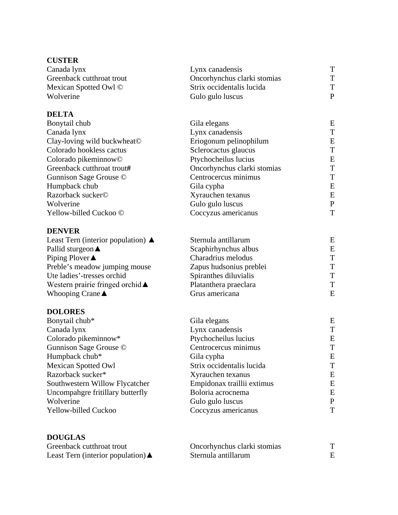# **CUSTER**

| Lynx canadensis             |   |
|-----------------------------|---|
| Oncorhynchus clarki stomias | т |
| Strix occidentalis lucida   |   |
| Gulo gulo luscus            | P |
|                             |   |

## **DELTA**

| Bonytail chub                    | Gila elegans                | E |
|----------------------------------|-----------------------------|---|
| Canada lynx                      | Lynx canadensis             | т |
| Clay-loving wild buckwheat©      | Eriogonum pelinophilum      | E |
| Colorado hookless cactus         | Sclerocactus glaucus        | T |
| Colorado pikeminnow <sup>©</sup> | Ptychocheilus lucius        | Ε |
| Greenback cutthroat trout#       | Oncorhynchus clarki stomias | T |
| Gunnison Sage Grouse ©           | Centrocercus minimus        | T |
| Humpback chub                    | Gila cypha                  | E |
| Razorback sucker©                | Xyrauchen texanus           | E |
| Wolverine                        | Gulo gulo luscus            | P |
| Yellow-billed Cuckoo ©           | Coccyzus americanus         | T |

#### **DENVER**

| Sternula antillarum     | E |
|-------------------------|---|
| Scaphirhynchus albus    | E |
| Charadrius melodus      | т |
| Zapus hudsonius preblei | т |
| Spiranthes diluvialis   | т |
| Platanthera praeclara   | T |
| Grus americana          | E |
|                         |   |

# **DOLORES**

| Bonytail chub*                   | Gila elegans               | E |
|----------------------------------|----------------------------|---|
| Canada lynx                      | Lynx canadensis            | T |
| Colorado pikeminnow*             | Ptychocheilus lucius       | E |
| Gunnison Sage Grouse ©           | Centrocercus minimus       | T |
| Humpback chub*                   | Gila cypha                 | Ε |
| <b>Mexican Spotted Owl</b>       | Strix occidentalis lucida  | T |
| Razorback sucker*                | Xyrauchen texanus          | E |
| Southwestern Willow Flycatcher   | Empidonax traillii extimus | E |
| Uncompahgre fritillary butterfly | Boloria acrocnema          | E |
| Wolverine                        | Gulo gulo luscus           | P |
| <b>Yellow-billed Cuckoo</b>      | Coccyzus americanus        | T |
|                                  |                            |   |

# **DOUGLAS**

| Greenback cutthroat trout                         | Oncorhynchus clarki stomias | m |
|---------------------------------------------------|-----------------------------|---|
| Least Tern (interior population) $\blacktriangle$ | Sternula antillarum         |   |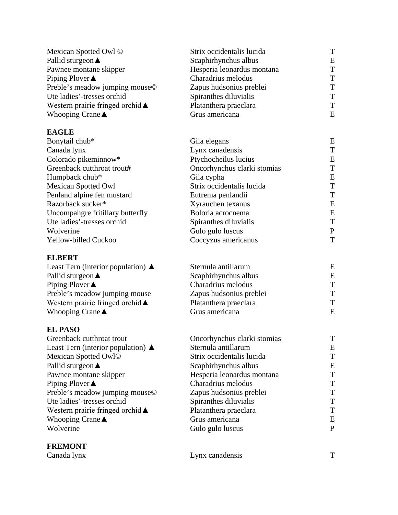| Mexican Spotted Owl ©                           | Strix occidentalis lucida   | T            |
|-------------------------------------------------|-----------------------------|--------------|
| Pallid sturgeon $\triangle$                     | Scaphirhynchus albus        | E            |
| Pawnee montane skipper                          | Hesperia leonardus montana  | T            |
| Piping Plover▲                                  | Charadrius melodus          | T            |
| Preble's meadow jumping mouse©                  | Zapus hudsonius preblei     | T            |
| Ute ladies'-tresses orchid                      | Spiranthes diluvialis       | T            |
| Western prairie fringed orchid ▲                | Platanthera praeclara       | T            |
| Whooping Crane $\blacktriangle$                 | Grus americana              | E            |
| <b>EAGLE</b>                                    |                             |              |
| Bonytail chub*                                  | Gila elegans                | E            |
| Canada lynx                                     | Lynx canadensis             | T            |
| Colorado pikeminnow*                            | Ptychocheilus lucius        | E            |
| Greenback cutthroat trout#                      | Oncorhynchus clarki stomias | T            |
| Humpback chub*                                  | Gila cypha                  | E            |
| <b>Mexican Spotted Owl</b>                      | Strix occidentalis lucida   | T            |
| Penland alpine fen mustard                      | Eutrema penlandii           | T            |
| Razorback sucker*                               | Xyrauchen texanus           | E            |
| Uncompahgre fritillary butterfly                | Boloria acrocnema           | E            |
| Ute ladies'-tresses orchid                      | Spiranthes diluvialis       | T            |
| Wolverine                                       | Gulo gulo luscus            | $\mathbf{P}$ |
| Yellow-billed Cuckoo                            | Coccyzus americanus         | T            |
| <b>ELBERT</b>                                   |                             |              |
| Least Tern (interior population) $\triangle$    | Sternula antillarum         | E            |
| Pallid sturgeon $\triangle$                     | Scaphirhynchus albus        | E            |
| Piping Plover $\triangle$                       | Charadrius melodus          | T            |
| Preble's meadow jumping mouse                   | Zapus hudsonius preblei     | T            |
| Western prairie fringed orchid $\blacktriangle$ | Platanthera praeclara       | T            |
| Whooping Crane $\triangle$                      | Grus americana              | E            |
| <b>EL PASO</b>                                  |                             |              |
| Greenback cutthroat trout                       | Oncorhynchus clarki stomias | T            |
| Least Tern (interior population) $\triangle$    | Sternula antillarum         | Ε            |
| Mexican Spotted Owl©                            | Strix occidentalis lucida   | T            |
| Pallid sturgeon <b>▲</b>                        | Scaphirhynchus albus        | Ε            |
| Pawnee montane skipper                          | Hesperia leonardus montana  | T            |
| Piping Plover $\blacktriangle$                  | Charadrius melodus          | Т            |
| Preble's meadow jumping mouse©                  | Zapus hudsonius preblei     | T            |
| Ute ladies'-tresses orchid                      | Spiranthes diluvialis       | T            |
| Western prairie fringed orchid $\blacktriangle$ | Platanthera praeclara       | T            |
| Whooping Crane $\blacktriangle$                 | Grus americana              | E            |
| Wolverine                                       | Gulo gulo luscus            | $\mathbf{P}$ |
| <b>FREMONT</b>                                  |                             |              |
| Canada lynx                                     | Lynx canadensis             | T            |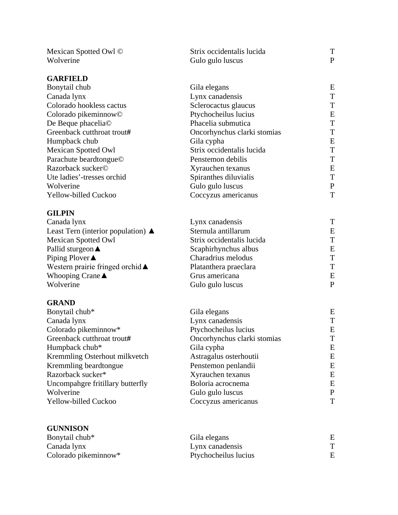| Mexican Spotted Owl ©<br>Wolverine | Strix occidentalis lucida<br>Gulo gulo luscus | T<br>$\mathbf{P}$ |
|------------------------------------|-----------------------------------------------|-------------------|
|                                    |                                               |                   |
| <b>GARFIELD</b>                    |                                               |                   |
| Bonytail chub                      | Gila elegans                                  | E                 |
| Canada lynx                        | Lynx canadensis                               | T                 |
| Colorado hookless cactus           | Sclerocactus glaucus                          | T                 |
| Colorado pikeminnow <sup>©</sup>   | Ptychocheilus lucius                          | E                 |
| De Beque phacelia©                 | Phacelia submutica                            | T                 |
| Greenback cutthroat trout#         | Oncorhynchus clarki stomias                   | T                 |
| Humpback chub                      | Gila cypha                                    | E                 |
| <b>Mexican Spotted Owl</b>         | Strix occidentalis lucida                     | T                 |
| Parachute beardtongue©             | Penstemon debilis                             | T                 |
| Razorback sucker©                  | Xyrauchen texanus                             | E                 |
| Ute ladies'-tresses orchid         | Spiranthes diluvialis                         | T                 |
| Wolverine                          | Gulo gulo luscus                              | ${\bf P}$         |
| Yellow-billed Cuckoo               | Coccyzus americanus                           | T                 |
| <b>GILPIN</b>                      |                                               |                   |
| Canada lynx                        | Lynx canadensis                               | T                 |
| Least Tern (interior population) ▲ | Sternula antillarum                           | E                 |
| <b>Mexican Spotted Owl</b>         | Strix occidentalis lucida                     | T                 |
| Pallid sturgeon <b>▲</b>           | Scaphirhynchus albus                          | E                 |
| Piping Plover▲                     | Charadrius melodus                            | T                 |
| Western prairie fringed orchid ▲   | Platanthera praeclara                         | T                 |
| Whooping Crane $\triangle$         | Grus americana                                | E                 |
| Wolverine                          | Gulo gulo luscus                              | $\mathbf{P}$      |
| <b>GRAND</b>                       |                                               |                   |
| Bonytail chub*                     | Gila elegans                                  | E                 |
| Canada lynx                        | Lynx canadensis                               | T                 |
| Colorado pikeminnow*               | Ptychocheilus lucius                          | E                 |
| Greenback cutthroat trout#         | Oncorhynchus clarki stomias                   | $\mathbf T$       |
| Humpback chub*                     | Gila cypha                                    | E                 |
| Kremmling Osterhout milkvetch      | Astragalus osterhoutii                        | E                 |
| Kremmling beardtongue              | Penstemon penlandii                           | E                 |
| Razorback sucker*                  | Xyrauchen texanus                             | ${\bf E}$         |
| Uncompahgre fritillary butterfly   | Boloria acrocnema                             | E                 |
| Wolverine                          | Gulo gulo luscus                              | ${\bf P}$         |
| Yellow-billed Cuckoo               | Coccyzus americanus                           | T                 |
|                                    |                                               |                   |
| <b>GUNNISON</b>                    |                                               |                   |
| Bonytail chub*                     | Gila elegans                                  | E                 |
| Canada lynx                        | Lynx canadensis                               | T                 |
| Colorado pikeminnow*               | Ptychocheilus lucius                          | E                 |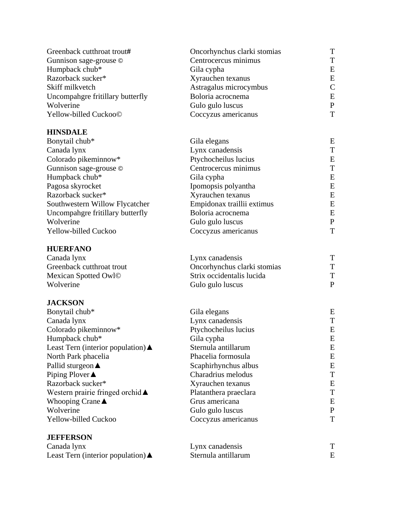| Greenback cutthroat trout#                   | Oncorhynchus clarki stomias | T              |
|----------------------------------------------|-----------------------------|----------------|
| Gunnison sage-grouse ©                       | Centrocercus minimus        | T              |
| Humpback chub*                               | Gila cypha                  | E              |
| Razorback sucker*                            | Xyrauchen texanus           | E              |
| Skiff milkvetch                              | Astragalus microcymbus      | $\overline{C}$ |
| Uncompahgre fritillary butterfly             | Boloria acrocnema           | E              |
| Wolverine                                    | Gulo gulo luscus            | ${\bf P}$      |
| Yellow-billed Cuckoo©                        | Coccyzus americanus         | T              |
| <b>HINSDALE</b>                              |                             |                |
| Bonytail chub*                               | Gila elegans                | E              |
| Canada lynx                                  | Lynx canadensis             | T              |
| Colorado pikeminnow*                         | Ptychocheilus lucius        | E              |
| Gunnison sage-grouse ©                       | Centrocercus minimus        | T              |
| Humpback chub*                               | Gila cypha                  | E              |
| Pagosa skyrocket                             | Ipomopsis polyantha         | E              |
| Razorback sucker*                            | Xyrauchen texanus           | E              |
| Southwestern Willow Flycatcher               | Empidonax traillii extimus  | E              |
| Uncompahgre fritillary butterfly             | Boloria acrocnema           | E              |
| Wolverine                                    | Gulo gulo luscus            | ${\bf P}$      |
| Yellow-billed Cuckoo                         | Coccyzus americanus         | T              |
| <b>HUERFANO</b>                              |                             |                |
| Canada lynx                                  | Lynx canadensis             | T              |
| Greenback cutthroat trout                    | Oncorhynchus clarki stomias | T              |
| Mexican Spotted Owl©                         | Strix occidentalis lucida   | T              |
| Wolverine                                    | Gulo gulo luscus            | $\mathbf{P}$   |
| <b>JACKSON</b>                               |                             |                |
| Bonytail chub*                               | Gila elegans                | E              |
| Canada lynx                                  | Lynx canadensis             | T              |
| Colorado pikeminnow*                         | Ptychocheilus lucius        | E              |
| Humpback chub*                               | Gila cypha                  | E              |
| Least Tern (interior population) $\triangle$ | Sternula antillarum         | E              |
| North Park phacelia                          | Phacelia formosula          | E              |
| Pallid sturgeon $\triangle$                  | Scaphirhynchus albus        | E              |
| Piping Plover $\triangle$                    | Charadrius melodus          | T              |
| Razorback sucker*                            | Xyrauchen texanus           | E              |
| Western prairie fringed orchid ▲             | Platanthera praeclara       | T              |
| Whooping Crane $\blacktriangle$              | Grus americana              | E              |
| Wolverine                                    | Gulo gulo luscus            | $\mathbf P$    |
| Yellow-billed Cuckoo                         | Coccyzus americanus         | T              |
| <b>JEFFERSON</b>                             |                             |                |
| Canada lynx                                  | Lynx canadensis             | T              |
| Least Tern (interior population) $\triangle$ | Sternula antillarum         | Ε              |
|                                              |                             |                |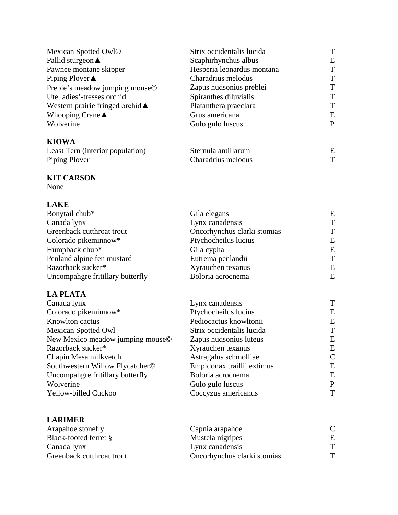| Mexican Spotted Owl©                       | Strix occidentalis lucida  | T |
|--------------------------------------------|----------------------------|---|
| Pallid sturgeon $\triangle$                | Scaphirhynchus albus       | E |
| Pawnee montane skipper                     | Hesperia leonardus montana | T |
| Piping Plover $\triangle$                  | Charadrius melodus         | T |
| Preble's meadow jumping mouse©             | Zapus hudsonius preblei    | T |
| Ute ladies'-tresses orchid                 | Spiranthes diluvialis      | T |
| Western prairie fringed orchid $\triangle$ | Platanthera praeclara      | T |
| Whooping Crane $\blacktriangle$            | Grus americana             | E |
| Wolverine                                  | Gulo gulo luscus           | P |
| <b>KIOWA</b>                               |                            |   |
| Least Tern (interior population)           | Sternula antillarum        | E |
| Piping Plover                              | Charadrius melodus         | T |

#### **KIT CARSON**

None

# **LAKE**

| Bonytail chub*                   | Gila elegans                | E |
|----------------------------------|-----------------------------|---|
| Canada lynx                      | Lynx canadensis             | T |
| Greenback cutthroat trout        | Oncorhynchus clarki stomias | T |
| Colorado pikeminnow*             | Ptychocheilus lucius        | E |
| Humpback chub*                   | Gila cypha                  | E |
| Penland alpine fen mustard       | Eutrema penlandii           | T |
| Razorback sucker*                | Xyrauchen texanus           | E |
| Uncompahgre fritillary butterfly | Boloria acrocnema           | E |

# **LA PLATA**

| Lynx canadensis            | T |
|----------------------------|---|
| Ptychocheilus lucius       | E |
| Pediocactus knowltonii     | E |
| Strix occidentalis lucida  | T |
| Zapus hudsonius luteus     | E |
| Xyrauchen texanus          | E |
| Astragalus schmolliae      | C |
| Empidonax traillii extimus | E |
| Boloria acrocnema          | E |
| Gulo gulo luscus           | P |
| Coccyzus americanus        | T |
|                            |   |

# **LARIMER**

| Arapahoe stonefly         | Capnia arapahoe             |   |
|---------------------------|-----------------------------|---|
| Black-footed ferret §     | Mustela nigripes            | E |
| Canada lynx               | Lynx canadensis             |   |
| Greenback cutthroat trout | Oncorhynchus clarki stomias |   |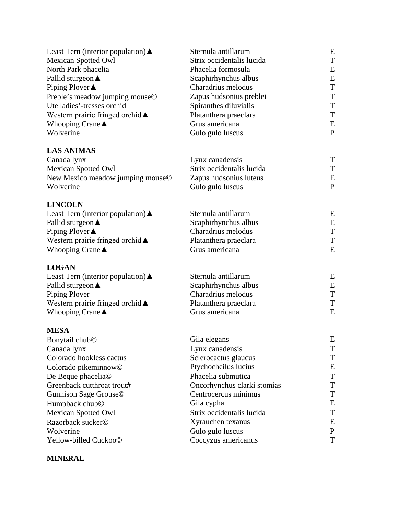| Least Tern (interior population) $\triangle$      | Sternula antillarum         | E            |
|---------------------------------------------------|-----------------------------|--------------|
| <b>Mexican Spotted Owl</b>                        | Strix occidentalis lucida   | T            |
| North Park phacelia                               | Phacelia formosula          | Ε            |
| Pallid sturgeon <b>▲</b>                          | Scaphirhynchus albus        | E            |
| Piping Plover ▲                                   | Charadrius melodus          | T            |
| Preble's meadow jumping mouse©                    | Zapus hudsonius preblei     | T            |
| Ute ladies'-tresses orchid                        | Spiranthes diluvialis       | T            |
| Western prairie fringed orchid $\blacktriangle$   | Platanthera praeclara       | T            |
| Whooping Crane $\triangle$                        | Grus americana              | E            |
| Wolverine                                         | Gulo gulo luscus            | $\mathbf{P}$ |
| <b>LAS ANIMAS</b>                                 |                             |              |
| Canada lynx                                       | Lynx canadensis             | T            |
| <b>Mexican Spotted Owl</b>                        | Strix occidentalis lucida   | T            |
| New Mexico meadow jumping mouse©                  | Zapus hudsonius luteus      | E            |
| Wolverine                                         | Gulo gulo luscus            | $\mathbf{P}$ |
| <b>LINCOLN</b>                                    |                             |              |
| Least Tern (interior population) $\blacktriangle$ | Sternula antillarum         | E            |
| Pallid sturgeon $\triangle$                       | Scaphirhynchus albus        | E            |
| Piping Plover▲                                    | Charadrius melodus          | T            |
| Western prairie fringed orchid ▲                  | Platanthera praeclara       | T            |
| Whooping Crane ▲                                  | Grus americana              | E            |
| <b>LOGAN</b>                                      |                             |              |
| Least Tern (interior population) $\blacktriangle$ | Sternula antillarum         | E            |
| Pallid sturgeon $\triangle$                       | Scaphirhynchus albus        | E            |
| Piping Plover                                     | Charadrius melodus          | T            |
| Western prairie fringed orchid ▲                  | Platanthera praeclara       | T            |
| Whooping Crane $\triangle$                        | Grus americana              | E            |
| <b>MESA</b>                                       |                             |              |
| Bonytail chub <sup>©</sup>                        | Gila elegans                | E            |
| Canada lynx                                       | Lynx canadensis             | T            |
| Colorado hookless cactus                          | Sclerocactus glaucus        | T            |
| Colorado pikeminnow <sup>©</sup>                  | Ptychocheilus lucius        | E            |
| De Beque phacelia©                                | Phacelia submutica          | T            |
| Greenback cutthroat trout#                        | Oncorhynchus clarki stomias | Τ            |
| Gunnison Sage Grouse©                             | Centrocercus minimus        | T            |
| Humpback chub <sup>©</sup>                        | Gila cypha                  | Ε            |
| <b>Mexican Spotted Owl</b>                        | Strix occidentalis lucida   | T            |
| Razorback sucker©                                 | Xyrauchen texanus           | Ε            |
| Wolverine                                         | Gulo gulo luscus            | $\mathbf{P}$ |
| Yellow-billed Cuckoo©                             | Coccyzus americanus         | T            |

## **MINERAL**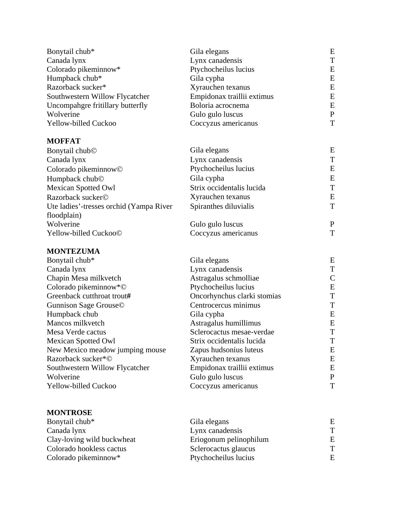| Bonytail chub*                          | Gila elegans                | E                            |
|-----------------------------------------|-----------------------------|------------------------------|
| Canada lynx                             | Lynx canadensis             | T                            |
| Colorado pikeminnow*                    | Ptychocheilus lucius        | E                            |
| Humpback chub*                          | Gila cypha                  | E                            |
| Razorback sucker*                       | Xyrauchen texanus           | E                            |
| Southwestern Willow Flycatcher          | Empidonax traillii extimus  | E                            |
| Uncompahgre fritillary butterfly        | Boloria acrocnema           | E                            |
| Wolverine                               | Gulo gulo luscus            | $\mathbf P$                  |
| Yellow-billed Cuckoo                    | Coccyzus americanus         | T                            |
| <b>MOFFAT</b>                           |                             |                              |
| Bonytail chub <sup>©</sup>              | Gila elegans                | Ε                            |
| Canada lynx                             | Lynx canadensis             | T                            |
| Colorado pikeminnow <sup>©</sup>        | Ptychocheilus lucius        | E                            |
| Humpback chub©                          | Gila cypha                  | E                            |
| <b>Mexican Spotted Owl</b>              | Strix occidentalis lucida   | T                            |
| Razorback sucker©                       | Xyrauchen texanus           | E                            |
| Ute ladies'-tresses orchid (Yampa River | Spiranthes diluvialis       | T                            |
| floodplain)                             |                             |                              |
| Wolverine                               | Gulo gulo luscus            | $\mathbf{P}$                 |
| Yellow-billed Cuckoo©                   | Coccyzus americanus         | T                            |
| <b>MONTEZUMA</b>                        |                             |                              |
| Bonytail chub*                          | Gila elegans                | Ε                            |
| Canada lynx                             | Lynx canadensis             | T                            |
| Chapin Mesa milkvetch                   | Astragalus schmolliae       | $\mathcal{C}$                |
| Colorado pikeminnow*©                   | Ptychocheilus lucius        | E                            |
| Greenback cutthroat trout#              | Oncorhynchus clarki stomias | T                            |
| Gunnison Sage Grouse©                   | Centrocercus minimus        | T                            |
| Humpback chub                           | Gila cypha                  | E                            |
| Mancos milkvetch                        | Astragalus humillimus       | E                            |
| Mesa Verde cactus                       | Sclerocactus mesae-verdae   | T                            |
| <b>Mexican Spotted Owl</b>              | Strix occidentalis lucida   | $\mathbf{r}$<br>$\mathbf{I}$ |
| New Mexico meadow jumping mouse         | Zapus hudsonius luteus      | E                            |
| Razorback sucker*©                      | Xyrauchen texanus           | E                            |
| Southwestern Willow Flycatcher          | Empidonax traillii extimus  | E                            |
| Wolverine                               | Gulo gulo luscus            | $\mathbf P$                  |
| Yellow-billed Cuckoo                    | Coccyzus americanus         | T                            |
|                                         |                             |                              |

| Bonytail chub*             | Gila elegans           | E |
|----------------------------|------------------------|---|
| Canada lynx                | Lynx canadensis        | т |
| Clay-loving wild buckwheat | Eriogonum pelinophilum | E |
| Colorado hookless cactus   | Sclerocactus glaucus   | T |
| Colorado pikeminnow*       | Ptychocheilus lucius   | E |

**MONTROSE**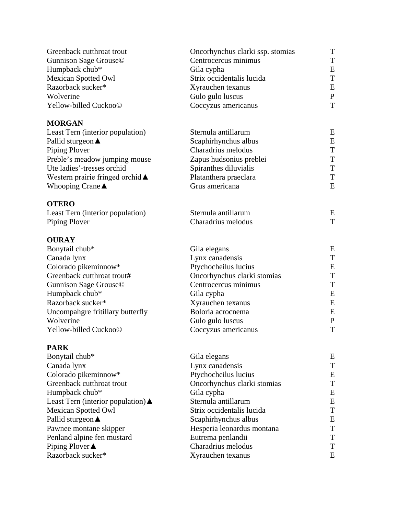| Greenback cutthroat trout                       | Oncorhynchus clarki ssp. stomias | T            |
|-------------------------------------------------|----------------------------------|--------------|
| Gunnison Sage Grouse©                           | Centrocercus minimus             | T            |
| Humpback chub*                                  | Gila cypha                       | E            |
| <b>Mexican Spotted Owl</b>                      | Strix occidentalis lucida        | T            |
| Razorback sucker*                               | Xyrauchen texanus                | E            |
| Wolverine                                       | Gulo gulo luscus                 | $\mathbf{P}$ |
| Yellow-billed Cuckoo©                           | Coccyzus americanus              | T            |
| <b>MORGAN</b>                                   |                                  |              |
| Least Tern (interior population)                | Sternula antillarum              | E            |
| Pallid sturgeon <b>▲</b>                        | Scaphirhynchus albus             | E            |
| Piping Plover                                   | Charadrius melodus               | T            |
| Preble's meadow jumping mouse                   | Zapus hudsonius preblei          | T            |
| Ute ladies'-tresses orchid                      | Spiranthes diluvialis            | T            |
| Western prairie fringed orchid $\blacktriangle$ | Platanthera praeclara            | T            |
| Whooping Crane $\triangle$                      | Grus americana                   | E            |
| <b>OTERO</b>                                    |                                  |              |
| Least Tern (interior population)                | Sternula antillarum              | E            |
| Piping Plover                                   | Charadrius melodus               | T            |
| <b>OURAY</b>                                    |                                  |              |
| Bonytail chub*                                  | Gila elegans                     | E            |
| Canada lynx                                     | Lynx canadensis                  | T            |
| Colorado pikeminnow*                            | Ptychocheilus lucius             | E            |
| Greenback cutthroat trout#                      | Oncorhynchus clarki stomias      | T            |
| Gunnison Sage Grouse©                           | Centrocercus minimus             | T            |
| Humpback chub*                                  | Gila cypha                       | E            |
| Razorback sucker*                               | Xyrauchen texanus                | E            |
| Uncompahgre fritillary butterfly                | Boloria acrocnema                | E            |
| Wolverine                                       | Gulo gulo luscus                 | $\mathbf P$  |
| Yellow-billed Cuckoo©                           | Coccyzus americanus              | T            |
| <b>PARK</b>                                     |                                  |              |
| Bonytail chub*                                  | Gila elegans                     | E            |
| Canada lynx                                     | Lynx canadensis                  | T            |
| Colorado pikeminnow*                            | Ptychocheilus lucius             | Ε            |
| Greenback cutthroat trout                       | Oncorhynchus clarki stomias      | T            |
| Humpback chub*                                  | Gila cypha                       | Ε            |
| Least Tern (interior population) ▲              | Sternula antillarum              | Ε            |
| <b>Mexican Spotted Owl</b>                      | Strix occidentalis lucida        | T            |
| Pallid sturgeon <b>▲</b>                        | Scaphirhynchus albus             | Ε            |
| Pawnee montane skipper                          | Hesperia leonardus montana       | T            |
| Penland alpine fen mustard                      | Eutrema penlandii                | Τ            |
| Piping Plover▲                                  | Charadrius melodus               | T            |
| Razorback sucker*                               | Xyrauchen texanus                | E            |
|                                                 |                                  |              |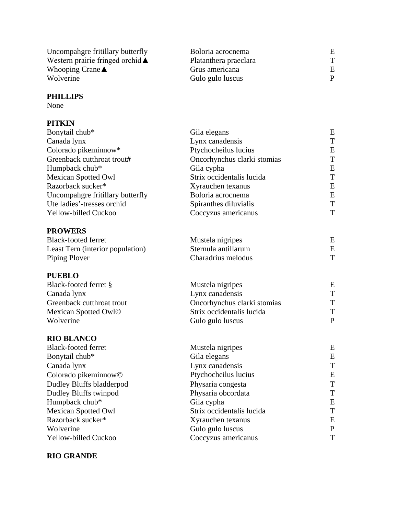| Uncompahgre fritillary butterfly           | Boloria acrocnema     |  |
|--------------------------------------------|-----------------------|--|
| Western prairie fringed orchid $\triangle$ | Platanthera praeclara |  |
| Whooping Crane $\triangle$                 | Grus americana        |  |
| Wolverine                                  | Gulo gulo luscus      |  |

#### **PHILLIPS**

None

# **PITKIN**

| Gila elegans                | E                    |
|-----------------------------|----------------------|
| Lynx canadensis             | T                    |
|                             | E                    |
| Oncorhynchus clarki stomias | $\mathbf T$          |
| Gila cypha                  | E                    |
| Strix occidentalis lucida   | $\mathbf T$          |
| Xyrauchen texanus           | E                    |
| Boloria acrocnema           | E                    |
| Spiranthes diluvialis       | $\mathbf T$          |
| Coccyzus americanus         | T                    |
|                             |                      |
| Mustela nigripes            | E                    |
| Sternula antillarum         | E                    |
| Charadrius melodus          | T                    |
|                             |                      |
| Mustela nigripes            | E                    |
| Lynx canadensis             | T                    |
| Oncorhynchus clarki stomias | $\mathbf T$          |
| Strix occidentalis lucida   | $\mathbf T$          |
| Gulo gulo luscus            | $\mathbf{P}$         |
|                             |                      |
| Mustela nigripes            | E                    |
| Gila elegans                | E                    |
| Lynx canadensis             | $\mathbf T$          |
| Ptychocheilus lucius        | E                    |
| Physaria congesta           | $\mathbf T$          |
| Physaria obcordata          | $\mathbf T$          |
| Gila cypha                  | E                    |
| Strix occidentalis lucida   | $\mathbf T$          |
| Xyrauchen texanus           | E                    |
| Gulo gulo luscus            | ${\bf P}$            |
| Coccyzus americanus         | T                    |
|                             | Ptychocheilus lucius |

### **RIO GRANDE**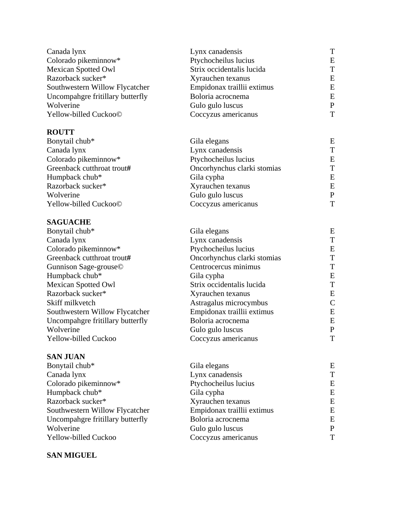| Canada lynx                      | Lynx canadensis             | T            |
|----------------------------------|-----------------------------|--------------|
| Colorado pikeminnow*             | Ptychocheilus lucius        | E            |
| <b>Mexican Spotted Owl</b>       | Strix occidentalis lucida   | T            |
| Razorback sucker*                | Xyrauchen texanus           | E            |
| Southwestern Willow Flycatcher   | Empidonax traillii extimus  | E            |
| Uncompahgre fritillary butterfly | Boloria acrocnema           | ${\bf E}$    |
| Wolverine                        | Gulo gulo luscus            | $\mathbf{P}$ |
| Yellow-billed Cuckoo©            | Coccyzus americanus         | T            |
| <b>ROUTT</b>                     |                             |              |
| Bonytail chub*                   | Gila elegans                | E            |
| Canada lynx                      | Lynx canadensis             | T            |
| Colorado pikeminnow*             | Ptychocheilus lucius        | E            |
| Greenback cutthroat trout#       | Oncorhynchus clarki stomias | T            |
| Humpback chub*                   | Gila cypha                  | E            |
| Razorback sucker*                | Xyrauchen texanus           | E            |
| Wolverine                        | Gulo gulo luscus            | $\mathbf{P}$ |
| Yellow-billed Cuckoo©            | Coccyzus americanus         | T            |
| <b>SAGUACHE</b>                  |                             |              |
| Bonytail chub*                   | Gila elegans                | E            |
| Canada lynx                      | Lynx canadensis             | T            |
| Colorado pikeminnow*             | Ptychocheilus lucius        | E            |
| Greenback cutthroat trout#       | Oncorhynchus clarki stomias | $\mathbf T$  |
| Gunnison Sage-grouse©            | Centrocercus minimus        | $\mathbf T$  |
| Humpback chub*                   | Gila cypha                  | E            |
| <b>Mexican Spotted Owl</b>       | Strix occidentalis lucida   | T            |
| Razorback sucker*                | Xyrauchen texanus           | E            |
| Skiff milkvetch                  | Astragalus microcymbus      | $\mathsf{C}$ |
| Southwestern Willow Flycatcher   | Empidonax traillii extimus  | E            |
| Uncompahgre fritillary butterfly | Boloria acrocnema           | E            |
| Wolverine                        | Gulo gulo luscus            | $\mathbf{P}$ |
| Yellow-billed Cuckoo             | Coccyzus americanus         | T            |
| <b>SAN JUAN</b>                  |                             |              |
| Bonytail chub*                   | Gila elegans                | E            |
| Canada lynx                      | Lynx canadensis             | T            |
| Colorado pikeminnow*             | Ptychocheilus lucius        | E            |
| Humpback chub*                   | Gila cypha                  | E            |
| Razorback sucker*                | Xyrauchen texanus           | E            |
| Southwestern Willow Flycatcher   | Empidonax traillii extimus  | E            |
| Uncompahgre fritillary butterfly | Boloria acrocnema           | E            |
| Wolverine                        | Gulo gulo luscus            | $\mathbf P$  |
| Yellow-billed Cuckoo             | Coccyzus americanus         | T            |

# **SAN MIGUEL**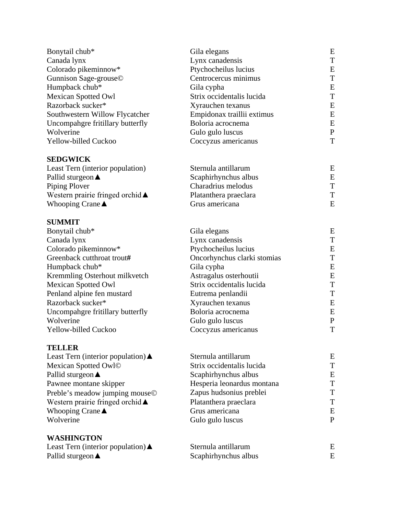| Bonytail chub*                                    | Gila elegans                | E            |
|---------------------------------------------------|-----------------------------|--------------|
| Canada lynx                                       | Lynx canadensis             | T            |
| Colorado pikeminnow*                              | Ptychocheilus lucius        | E            |
| Gunnison Sage-grouse©                             | Centrocercus minimus        | T            |
| Humpback chub*                                    | Gila cypha                  | E            |
| <b>Mexican Spotted Owl</b>                        | Strix occidentalis lucida   | T            |
| Razorback sucker*                                 | Xyrauchen texanus           | E            |
| Southwestern Willow Flycatcher                    | Empidonax traillii extimus  | E            |
| Uncompahgre fritillary butterfly                  | Boloria acrocnema           | E            |
| Wolverine                                         | Gulo gulo luscus            | $\mathbf{P}$ |
| Yellow-billed Cuckoo                              | Coccyzus americanus         | T            |
| <b>SEDGWICK</b>                                   |                             |              |
| Least Tern (interior population)                  | Sternula antillarum         | E            |
| Pallid sturgeon $\triangle$                       | Scaphirhynchus albus        | E            |
| Piping Plover                                     | Charadrius melodus          | T            |
| Western prairie fringed orchid $\blacktriangle$   | Platanthera praeclara       | T            |
| Whooping Crane $\blacktriangle$                   | Grus americana              | E            |
| <b>SUMMIT</b>                                     |                             |              |
| Bonytail chub*                                    | Gila elegans                | E            |
| Canada lynx                                       | Lynx canadensis             | T            |
| Colorado pikeminnow*                              | Ptychocheilus lucius        | Ε            |
| Greenback cutthroat trout#                        | Oncorhynchus clarki stomias | T            |
| Humpback chub*                                    | Gila cypha                  | E            |
| Kremmling Osterhout milkvetch                     | Astragalus osterhoutii      | E            |
| <b>Mexican Spotted Owl</b>                        | Strix occidentalis lucida   | T            |
| Penland alpine fen mustard                        | Eutrema penlandii           | T            |
| Razorback sucker*                                 | Xyrauchen texanus           | E            |
| Uncompahgre fritillary butterfly                  | Boloria acrocnema           | E            |
| Wolverine                                         | Gulo gulo luscus            | $\mathbf{P}$ |
| Yellow-billed Cuckoo                              | Coccyzus americanus         | T            |
| <b>TELLER</b>                                     |                             |              |
| Least Tern (interior population) $\triangle$      | Sternula antillarum         | Ε            |
| Mexican Spotted Owl©                              | Strix occidentalis lucida   | T            |
| Pallid sturgeon <b>▲</b>                          | Scaphirhynchus albus        | Ε            |
| Pawnee montane skipper                            | Hesperia leonardus montana  | T            |
| Preble's meadow jumping mouse©                    | Zapus hudsonius preblei     | Τ            |
| Western prairie fringed orchid ▲                  | Platanthera praeclara       | T            |
| Whooping Crane $\blacktriangle$                   | Grus americana              | E            |
| Wolverine                                         | Gulo gulo luscus            | $\mathbf{P}$ |
| <b>WASHINGTON</b>                                 |                             |              |
| Least Tern (interior population) $\blacktriangle$ | Sternula antillarum         | Ε            |
| Pallid sturgeon $\triangle$                       | Scaphirhynchus albus        | Ε            |